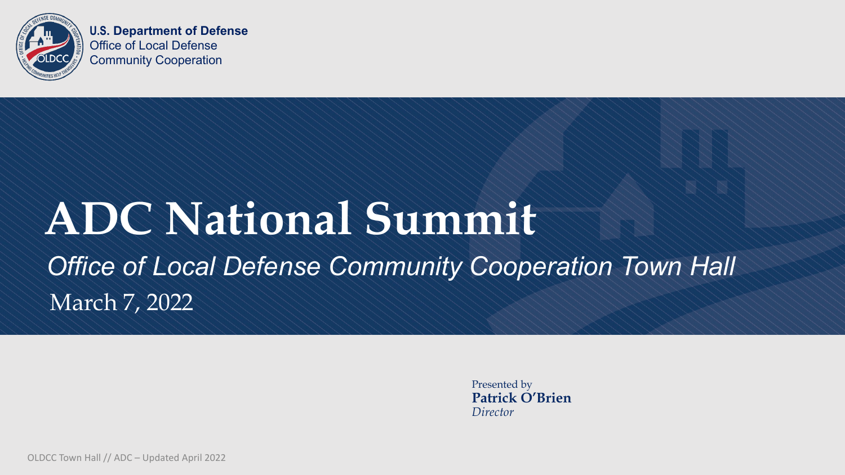

## **ADC National Summit** *Office of Local Defense Community Cooperation Town Hall* March 7, 2022

Presented by **Patrick O'Brien** *Director*

OLDCC Town Hall // ADC – Updated April 2022



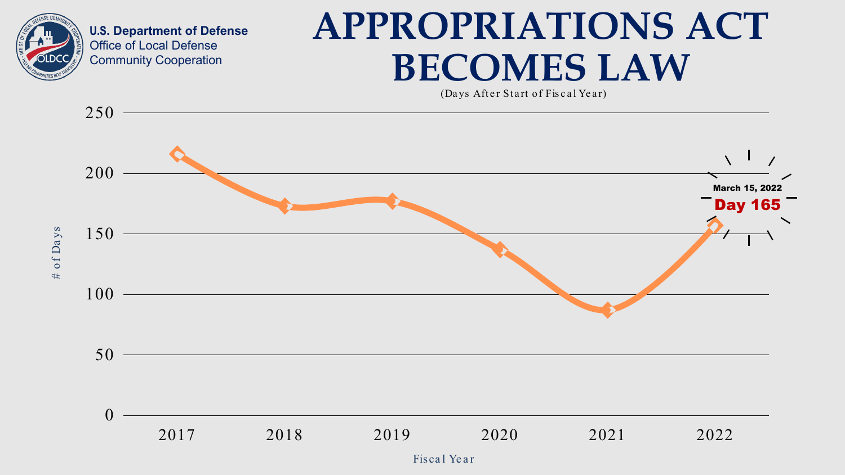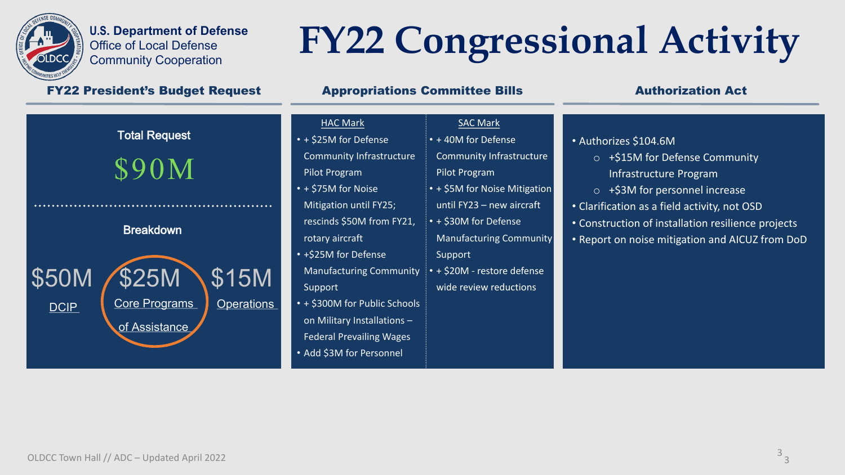

- + 40M for Defense
- Community Infrastruc Pilot Program
- $\cdot$  + \$5M for Noise Mitig until FY23 – new aircra
- + \$30M for Defense Manufacturing Comm Support
- $\cdot$  + \$20M restore defense wide review reduction

- + \$25M for Defense Community Infrastructure Pilot Program
- + \$75M for Noise Mitigation until FY25; rescinds \$50M from FY21, rotary aircraft
- +\$25M for Defense Manufacturing Community Support
- + \$300M for Public Schools on Military Installations – Federal Prevailing Wages
- Add \$3M for Personnel

### SAC Mark

# **FY22 Congressional Activity**

### FY22 President's Budget Request **Appropriations Committee Bills** Authorization Act



### **HAC Mark**

|           | • Authorizes \$104.6M                              |
|-----------|----------------------------------------------------|
| ture      | +\$15M for Defense Community                       |
|           | Infrastructure Program                             |
| ation     | +\$3M for personnel increase<br>$\overline{O}$     |
| aft       | • Clarification as a field activity, not OSD       |
|           | • Construction of installation resilience projects |
| unity     | • Report on noise mitigation and AICUZ from DoD    |
|           |                                                    |
| nse       |                                                    |
| <b>IS</b> |                                                    |
|           |                                                    |
|           |                                                    |
|           |                                                    |
|           |                                                    |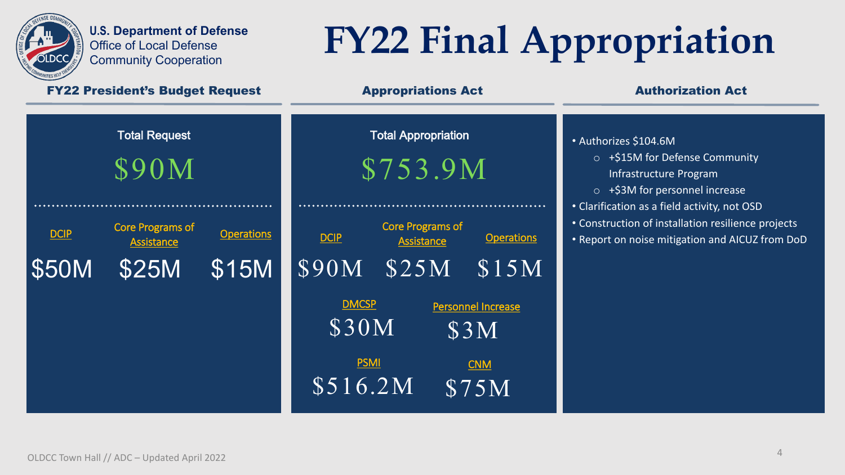

# **FY22 Final Appropriation**

### FY22 President's Budget Request **Appropriations Act** Authorization Act

- Authorizes \$104.6M
	- o +\$15M for Defense Community Infrastructure Program
	- o +\$3M for personnel increase
- Clarification as a field activity, not OSD
- Construction of installation resilience projects
- Report on noise mitigation and AICUZ from DoD

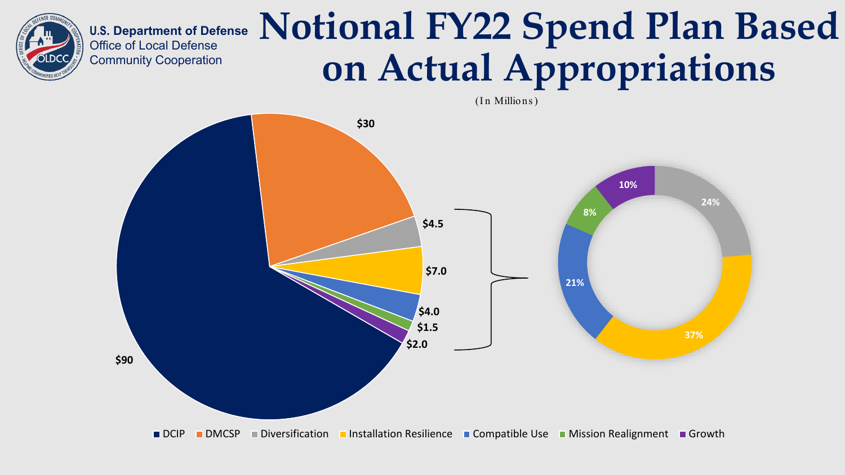

(In Millions)

# **Notional FY22 Spend Plan Based on Actual Appropriations**



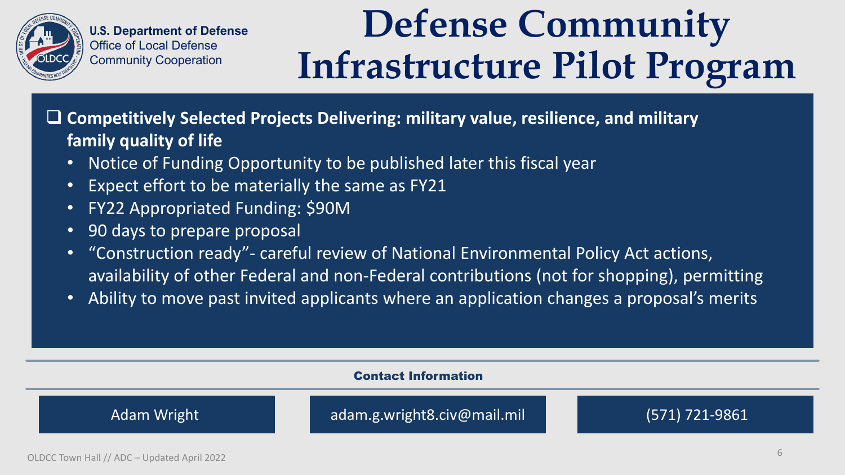

 **Competitively Selected Projects Delivering: military value, resilience, and military family quality of life**

- Notice of Funding Opportunity to be published later this fiscal year
- Expect effort to be materially the same as FY21
- FY22 Appropriated Funding: \$90M
- 90 days to prepare proposal
- "Construction ready"- careful review of National Environmental Policy Act actions, availability of other Federal and non-Federal contributions (not for shopping), permitting
- Ability to move past invited applicants where an application changes a proposal's merits



## **Defense Community Infrastructure Pilot Program**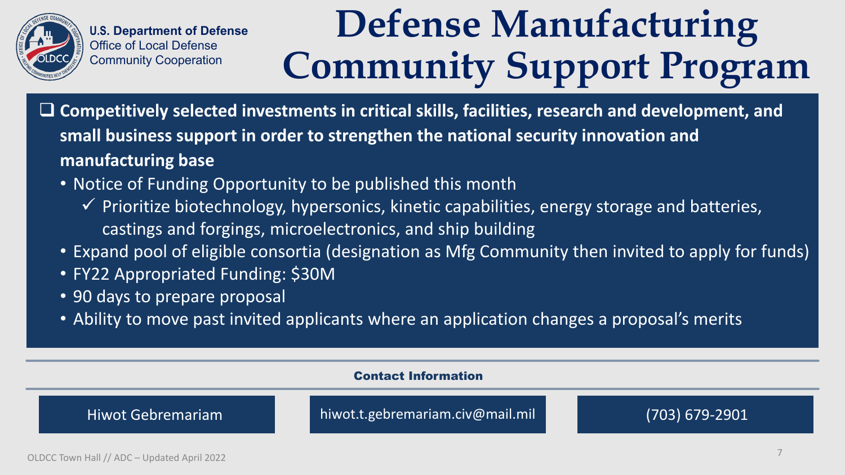

 **Competitively selected investments in critical skills, facilities, research and development, and small business support in order to strengthen the national security innovation and manufacturing base**

- Notice of Funding Opportunity to be published this month
	- $\checkmark$  Prioritize biotechnology, hypersonics, kinetic capabilities, energy storage and batteries, castings and forgings, microelectronics, and ship building
- Expand pool of eligible consortia (designation as Mfg Community then invited to apply for funds)
- FY22 Appropriated Funding: \$30M
- 90 days to prepare proposal
- Ability to move past invited applicants where an application changes a proposal's merits



# **Defense Manufacturing Community Support Program**

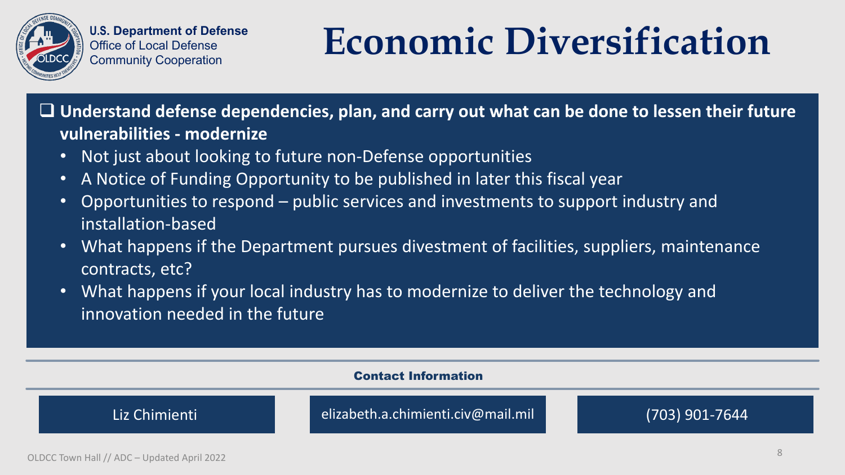



 **Understand defense dependencies, plan, and carry out what can be done to lessen their future vulnerabilities - modernize**

- Not just about looking to future non-Defense opportunities
- A Notice of Funding Opportunity to be published in later this fiscal year
- Opportunities to respond public services and investments to support industry and installation-based
- What happens if the Department pursues divestment of facilities, suppliers, maintenance contracts, etc?
- What happens if your local industry has to modernize to deliver the technology and innovation needed in the future



## **Economic Diversification**

- 
- 

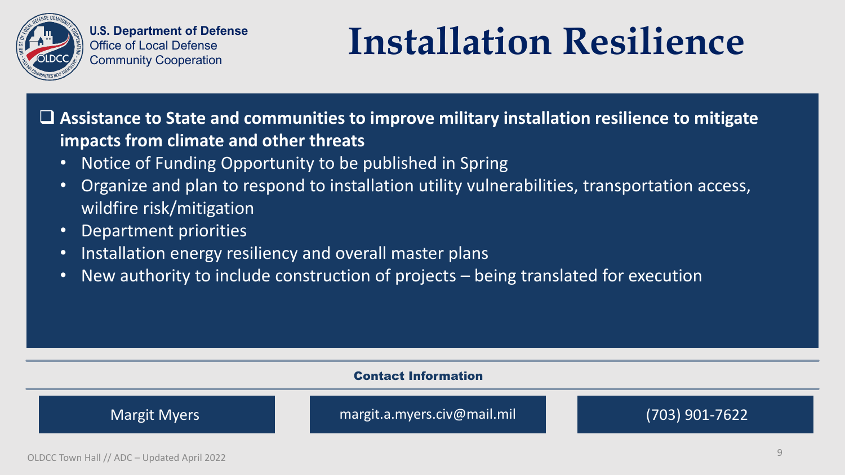

 **Assistance to State and communities to improve military installation resilience to mitigate impacts from climate and other threats**

- Notice of Funding Opportunity to be published in Spring
- Organize and plan to respond to installation utility vulnerabilities, transportation access, wildfire risk/mitigation
- Department priorities
- Installation energy resiliency and overall master plans
- New authority to include construction of projects being translated for execution



Margit Myers margit.a.myers.civ@mail.mil (703) 901-7622

## **Installation Resilience**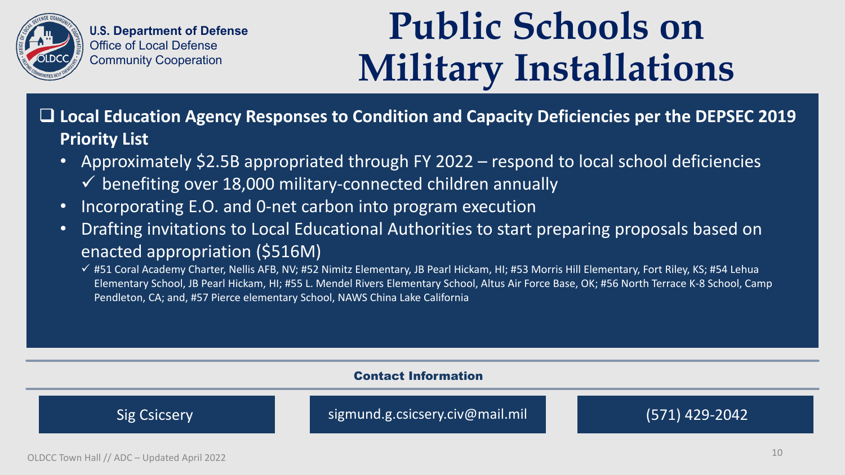

 **Local Education Agency Responses to Condition and Capacity Deficiencies per the DEPSEC 2019 Priority List**

- Approximately \$2.5B appropriated through FY 2022 respond to local school deficiencies  $\checkmark$  benefiting over 18,000 military-connected children annually
- Incorporating E.O. and 0-net carbon into program execution
- Drafting invitations to Local Educational Authorities to start preparing proposals based on enacted appropriation (\$516M)
	- √ #51 Coral Academy Charter, Nellis AFB, NV; #52 Nimitz Elementary, JB Pearl Hickam, HI; #53 Morris Hill Elementary, Fort Riley, KS; #54 Lehua Elementary School, JB Pearl Hickam, HI; #55 L. Mendel Rivers Elementary School, Altus Air Force Base, OK; #56 North Terrace K-8 School, Camp Pendleton, CA; and, #57 Pierce elementary School, NAWS China Lake California



## **Public Schools on Military Installations**